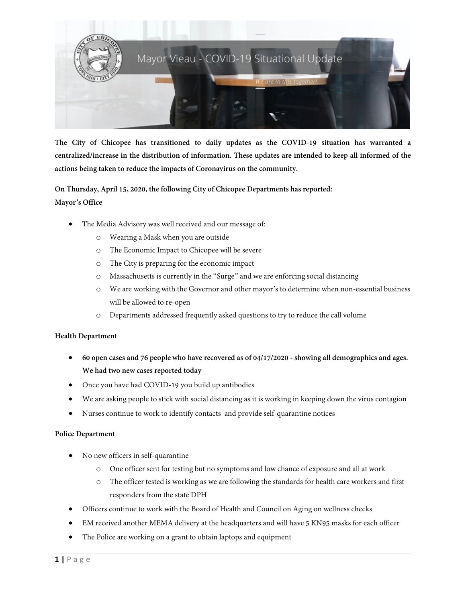

**The City of Chicopee has transitioned to daily updates as the COVID-19 situation has warranted a centralized/increase in the distribution of information. These updates are intended to keep all informed of the actions being taken to reduce the impacts of Coronavirus on the community.**

**On Thursday, April 15, 2020, the following City of Chicopee Departments has reported: Mayor's Office**

- The Media Advisory was well received and our message of:
	- o Wearing a Mask when you are outside
	- o The Economic Impact to Chicopee will be severe
	- o The City is preparing for the economic impact
	- o Massachusetts is currently in the "Surge" and we are enforcing social distancing
	- o We are working with the Governor and other mayor's to determine when non-essential business will be allowed to re-open
	- o Departments addressed frequently asked questions to try to reduce the call volume

### **Health Department**

- **60 open cases and 76 people who have recovered as of 04/17/2020 - showing all demographics and ages. We had two new cases reported today**
- Once you have had COVID-19 you build up antibodies
- We are asking people to stick with social distancing as it is working in keeping down the virus contagion
- Nurses continue to work to identify contacts and provide self-quarantine notices

### **Police Department**

- No new officers in self-quarantine
	- o One officer sent for testing but no symptoms and low chance of exposure and all at work
	- o The officer tested is working as we are following the standards for health care workers and first responders from the state DPH
- Officers continue to work with the Board of Health and Council on Aging on wellness checks
- EM received another MEMA delivery at the headquarters and will have 5 KN95 masks for each officer
- The Police are working on a grant to obtain laptops and equipment